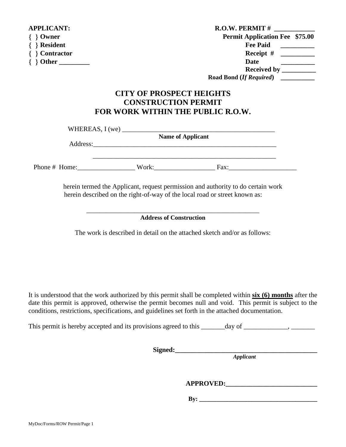| <b>APPLICANT:</b> | <b>R.O.W. PERMIT#</b>                             |  |  |
|-------------------|---------------------------------------------------|--|--|
| $\}$ Owner        | <b>Permit Application Fee \$75.00</b>             |  |  |
| <b>Resident</b>   | <b>Fee Paid</b>                                   |  |  |
| <b>Contractor</b> | Receipt $#$<br><u> 1986 - Jan Jawa Barat, pro</u> |  |  |
| Other $\_\_$      | Date                                              |  |  |
|                   | Received by $\_\_$                                |  |  |
|                   | Road Bond (If Required)                           |  |  |
|                   |                                                   |  |  |

## **CITY OF PROSPECT HEIGHTS CONSTRUCTION PERMIT FOR WORK WITHIN THE PUBLIC R.O.W.**

 $WHEREAS, I (we)$ 

|          | $\cdots$ |  | <b>Name of Applicant</b> |  |
|----------|----------|--|--------------------------|--|
| Address: |          |  |                          |  |
|          |          |  |                          |  |
|          |          |  |                          |  |

Phone # Home: Work: Fax:

herein termed the Applicant, request permission and authority to do certain work herein described on the right-of-way of the local road or street known as:

#### \_\_\_\_\_\_\_\_\_\_\_\_\_\_\_\_\_\_\_\_\_\_\_\_\_\_\_\_\_\_\_\_\_\_\_\_\_\_\_\_\_\_\_\_\_\_\_\_\_\_\_ **Address of Construction**

The work is described in detail on the attached sketch and/or as follows:

It is understood that the work authorized by this permit shall be completed within **six (6) months** after the date this permit is approved, otherwise the permit becomes null and void. This permit is subject to the conditions, restrictions, specifications, and guidelines set forth in the attached documentation.

This permit is hereby accepted and its provisions agreed to this \_\_\_\_\_\_day of \_\_\_\_\_\_\_\_\_, \_\_\_\_\_\_\_\_,

**Signed:\_\_\_\_\_\_\_\_\_\_\_\_\_\_\_\_\_\_\_\_\_\_\_\_\_\_\_\_\_\_\_\_\_\_\_\_\_\_\_\_\_\_** 

*Applicant*

**APPROVED:\_\_\_\_\_\_\_\_\_\_\_\_\_\_\_\_\_\_\_\_\_\_\_\_\_\_\_** 

**By:**  $\frac{1}{2}$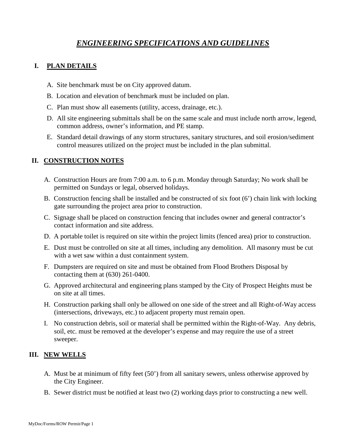# *ENGINEERING SPECIFICATIONS AND GUIDELINES*

### **I. PLAN DETAILS**

- A. Site benchmark must be on City approved datum.
- B. Location and elevation of benchmark must be included on plan.
- C. Plan must show all easements (utility, access, drainage, etc.).
- D. All site engineering submittals shall be on the same scale and must include north arrow, legend, common address, owner's information, and PE stamp.
- E. Standard detail drawings of any storm structures, sanitary structures, and soil erosion/sediment control measures utilized on the project must be included in the plan submittal.

#### **II. CONSTRUCTION NOTES**

- A. Construction Hours are from 7:00 a.m. to 6 p.m. Monday through Saturday; No work shall be permitted on Sundays or legal, observed holidays.
- B. Construction fencing shall be installed and be constructed of six foot (6') chain link with locking gate surrounding the project area prior to construction.
- C. Signage shall be placed on construction fencing that includes owner and general contractor's contact information and site address.
- D. A portable toilet is required on site within the project limits (fenced area) prior to construction.
- E. Dust must be controlled on site at all times, including any demolition. All masonry must be cut with a wet saw within a dust containment system.
- F. Dumpsters are required on site and must be obtained from Flood Brothers Disposal by contacting them at (630) 261-0400.
- G. Approved architectural and engineering plans stamped by the City of Prospect Heights must be on site at all times.
- H. Construction parking shall only be allowed on one side of the street and all Right-of-Way access (intersections, driveways, etc.) to adjacent property must remain open.
- I. No construction debris, soil or material shall be permitted within the Right-of-Way. Any debris, soil, etc. must be removed at the developer's expense and may require the use of a street sweeper.

#### **III. NEW WELLS**

- A. Must be at minimum of fifty feet (50') from all sanitary sewers, unless otherwise approved by the City Engineer.
- B. Sewer district must be notified at least two (2) working days prior to constructing a new well.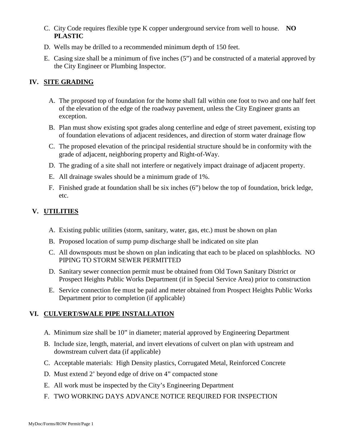- C. City Code requires flexible type K copper underground service from well to house. **NO PLASTIC**
- D. Wells may be drilled to a recommended minimum depth of 150 feet.
- E. Casing size shall be a minimum of five inches (5") and be constructed of a material approved by the City Engineer or Plumbing Inspector.

## **IV. SITE GRADING**

- A. The proposed top of foundation for the home shall fall within one foot to two and one half feet of the elevation of the edge of the roadway pavement, unless the City Engineer grants an exception.
- B. Plan must show existing spot grades along centerline and edge of street pavement, existing top of foundation elevations of adjacent residences, and direction of storm water drainage flow
- C. The proposed elevation of the principal residential structure should be in conformity with the grade of adjacent, neighboring property and Right-of-Way.
- D. The grading of a site shall not interfere or negatively impact drainage of adjacent property.
- E. All drainage swales should be a minimum grade of 1%.
- F. Finished grade at foundation shall be six inches (6") below the top of foundation, brick ledge, etc.

## **V. UTILITIES**

- A. Existing public utilities (storm, sanitary, water, gas, etc.) must be shown on plan
- B. Proposed location of sump pump discharge shall be indicated on site plan
- C. All downspouts must be shown on plan indicating that each to be placed on splashblocks. NO PIPING TO STORM SEWER PERMITTED
- D. Sanitary sewer connection permit must be obtained from Old Town Sanitary District or Prospect Heights Public Works Department (if in Special Service Area) prior to construction
- E. Service connection fee must be paid and meter obtained from Prospect Heights Public Works Department prior to completion (if applicable)

## **VI. CULVERT/SWALE PIPE INSTALLATION**

- A. Minimum size shall be 10" in diameter; material approved by Engineering Department
- B. Include size, length, material, and invert elevations of culvert on plan with upstream and downstream culvert data (if applicable)
- C. Acceptable materials: High Density plastics, Corrugated Metal, Reinforced Concrete
- D. Must extend 2' beyond edge of drive on 4" compacted stone
- E. All work must be inspected by the City's Engineering Department
- F. TWO WORKING DAYS ADVANCE NOTICE REQUIRED FOR INSPECTION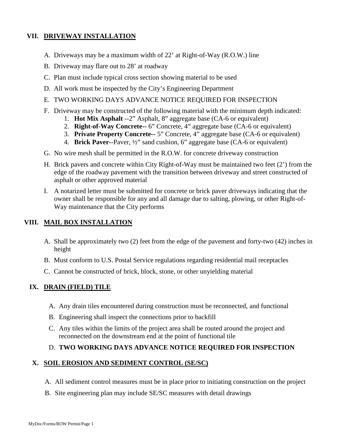### **VII. DRIVEWAY INSTALLATION**

- A. Driveways may be a maximum width of 22' at Right-of-Way (R.O.W.) line
- B. Driveway may flare out to 28' at roadway
- C. Plan must include typical cross section showing material to be used
- D. All work must be inspected by the City's Engineering Department
- E. TWO WORKING DAYS ADVANCE NOTICE REQUIRED FOR INSPECTION
- F. Driveway may be constructed of the following material with the minimum depth indicated:
	- 1. **Hot Mix Asphalt** --2" Asphalt, 8" aggregate base (CA-6 or equivalent)
	- 2. **Right-of-Way Concrete--** 6" Concrete, 4" aggregate base (CA-6 or equivalent)
	- 3. **Private Property Concrete--** 5" Concrete, 4" aggregate base (CA-6 or equivalent)
	- 4. **Brick Paver-**-Paver, ½" sand cushion, 6" aggregate base (CA-6 or equivalent)
- G. No wire mesh shall be permitted in the R.O.W. for concrete driveway construction
- H. Brick pavers and concrete within City Right-of-Way must be maintained two feet (2') from the edge of the roadway pavement with the transition between driveway and street constructed of asphalt or other approved material
- I. A notarized letter must be submitted for concrete or brick paver driveways indicating that the owner shall be responsible for any and all damage due to salting, plowing, or other Right-of-Way maintenance that the City performs

#### **VIII. MAIL BOX INSTALLATION**

- A. Shall be approximately two (2) feet from the edge of the pavement and forty-two (42) inches in height
- B. Must conform to U.S. Postal Service regulations regarding residential mail receptacles
- C. Cannot be constructed of brick, block, stone, or other unyielding material

#### **IX. DRAIN (FIELD) TILE**

- A. Any drain tiles encountered during construction must be reconnected, and functional
- B. Engineering shall inspect the connections prior to backfill
- C. Any tiles within the limits of the project area shall be routed around the project and reconnected on the downstream end at the point of functional tile

#### D. **TWO WORKING DAYS ADVANCE NOTICE REQUIRED FOR INSPECTION**

#### **X. SOIL EROSION AND SEDIMENT CONTROL (SE/SC)**

- A. All sediment control measures must be in place prior to initiating construction on the project
- B. Site engineering plan may include SE/SC measures with detail drawings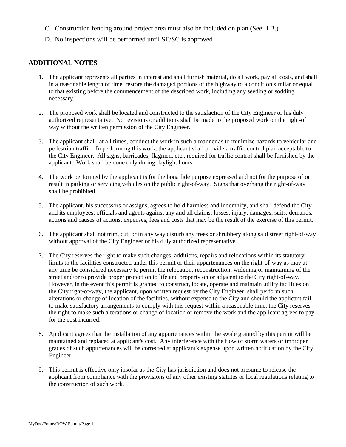- C. Construction fencing around project area must also be included on plan (See II.B.)
- D. No inspections will be performed until SE/SC is approved

#### **ADDITIONAL NOTES**

- 1. The applicant represents all parties in interest and shall furnish material, do all work, pay all costs, and shall in a reasonable length of time, restore the damaged portions of the highway to a condition similar or equal to that existing before the commencement of the described work, including any seeding or sodding necessary.
- 2. The proposed work shall be located and constructed to the satisfaction of the City Engineer or his duly authorized representative. No revisions or additions shall be made to the proposed work on the right-of way without the written permission of the City Engineer.
- 3. The applicant shall, at all times, conduct the work in such a manner as to minimize hazards to vehicular and pedestrian traffic. In performing this work, the applicant shall provide a traffic control plan acceptable to the City Engineer. All signs, barricades, flagmen, etc., required for traffic control shall be furnished by the applicant. Work shall be done only during daylight hours.
- 4. The work performed by the applicant is for the bona fide purpose expressed and not for the purpose of or result in parking or servicing vehicles on the public right-of-way. Signs that overhang the right-of-way shall be prohibited.
- 5. The applicant, his successors or assigns, agrees to hold harmless and indemnify, and shall defend the City and its employees, officials and agents against any and all claims, losses, injury, damages, suits, demands, actions and causes of actions, expenses, fees and costs that may be the result of the exercise of this permit.
- 6. The applicant shall not trim, cut, or in any way disturb any trees or shrubbery along said street right-of-way without approval of the City Engineer or his duly authorized representative.
- 7. The City reserves the right to make such changes, additions, repairs and relocations within its statutory limits to the facilities constructed under this permit or their appurtenances on the right-of-way as may at any time be considered necessary to permit the relocation, reconstruction, widening or maintaining of the street and/or to provide proper protection to life and property on or adjacent to the City right-of-way. However, in the event this permit is granted to construct, locate, operate and maintain utility facilities on the City right-of-way, the applicant, upon written request by the City Engineer, shall perform such alterations or change of location of the facilities, without expense to the City and should the applicant fail to make satisfactory arrangements to comply with this request within a reasonable time, the City reserves the right to make such alterations or change of location or remove the work and the applicant agrees to pay for the cost incurred.
- 8. Applicant agrees that the installation of any appurtenances within the swale granted by this permit will be maintained and replaced at applicant's cost. Any interference with the flow of storm waters or improper grades of such appurtenances will be corrected at applicant's expense upon written notification by the City Engineer.
- 9. This permit is effective only insofar as the City has jurisdiction and does not presume to release the applicant from compliance with the provisions of any other existing statutes or local regulations relating to the construction of such work.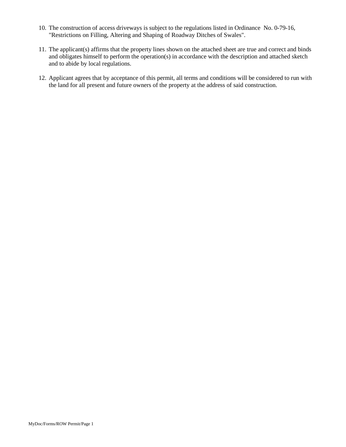- 10. The construction of access driveways is subject to the regulations listed in Ordinance No. 0-79-16, "Restrictions on Filling, Altering and Shaping of Roadway Ditches of Swales".
- 11. The applicant(s) affirms that the property lines shown on the attached sheet are true and correct and binds and obligates himself to perform the operation(s) in accordance with the description and attached sketch and to abide by local regulations.
- 12. Applicant agrees that by acceptance of this permit, all terms and conditions will be considered to run with the land for all present and future owners of the property at the address of said construction.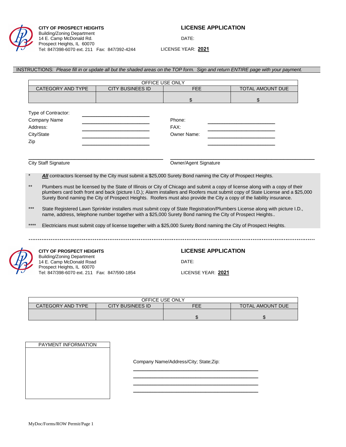

#### **CITY OF PROSPECT HEIGHTS LICENSE APPLICATION** Building/Zoning Department 14 E. Camp McDonald Rd. Prospect Heights, IL 60070 Tel: 847/398-6070 ext. 211 Fax: 847/392-4244

DATE:

LICENSE YEAR: **2021**

#### INSTRUCTIONS: *Please fill in or update all but the shaded areas on the TOP form. Sign and return ENTIRE page with your payment.*

|                                                                      |                                                                                                                    | OFFICE USE ONLY            |                                                                                                                                                                                                                                                                                                                                                                                            |
|----------------------------------------------------------------------|--------------------------------------------------------------------------------------------------------------------|----------------------------|--------------------------------------------------------------------------------------------------------------------------------------------------------------------------------------------------------------------------------------------------------------------------------------------------------------------------------------------------------------------------------------------|
| CATEGORY AND TYPE                                                    | <b>CITY BUSINEES ID</b>                                                                                            | <b>FEE</b>                 | TOTAL AMOUNT DUE                                                                                                                                                                                                                                                                                                                                                                           |
|                                                                      |                                                                                                                    | \$                         | \$                                                                                                                                                                                                                                                                                                                                                                                         |
| Type of Contractor:                                                  |                                                                                                                    |                            |                                                                                                                                                                                                                                                                                                                                                                                            |
| <b>Company Name</b>                                                  |                                                                                                                    | Phone:                     |                                                                                                                                                                                                                                                                                                                                                                                            |
| Address:                                                             |                                                                                                                    | FAX:                       |                                                                                                                                                                                                                                                                                                                                                                                            |
| City/State                                                           |                                                                                                                    | Owner Name:                | <u> 1989 - Johann Barbara, martin a</u>                                                                                                                                                                                                                                                                                                                                                    |
|                                                                      |                                                                                                                    |                            |                                                                                                                                                                                                                                                                                                                                                                                            |
| Zip                                                                  |                                                                                                                    |                            |                                                                                                                                                                                                                                                                                                                                                                                            |
|                                                                      |                                                                                                                    |                            |                                                                                                                                                                                                                                                                                                                                                                                            |
| <b>City Staff Signature</b>                                          |                                                                                                                    | Owner/Agent Signature      |                                                                                                                                                                                                                                                                                                                                                                                            |
|                                                                      |                                                                                                                    |                            |                                                                                                                                                                                                                                                                                                                                                                                            |
| $\star$                                                              | All contractors licensed by the City must submit a \$25,000 Surety Bond naming the City of Prospect Heights.       |                            |                                                                                                                                                                                                                                                                                                                                                                                            |
| $***$                                                                |                                                                                                                    |                            | Plumbers must be licensed by the State of Illinois or City of Chicago and submit a copy of license along with a copy of their<br>plumbers card both front and back (picture I.D.); Alarm installers and Roofers must submit copy of State License and a \$25,000<br>Surety Bond naming the City of Prospect Heights. Roofers must also provide the City a copy of the liability insurance. |
| $***$                                                                | name, address, telephone number together with a \$25,000 Surety Bond naming the City of Prospect Heights           |                            | State Registered Lawn Sprinkler installers must submit copy of State Registration/Plumbers License along with picture I.D.,                                                                                                                                                                                                                                                                |
| ****                                                                 | Electricians must submit copy of license together with a \$25,000 Surety Bond naming the City of Prospect Heights. |                            |                                                                                                                                                                                                                                                                                                                                                                                            |
|                                                                      |                                                                                                                    |                            |                                                                                                                                                                                                                                                                                                                                                                                            |
|                                                                      |                                                                                                                    |                            |                                                                                                                                                                                                                                                                                                                                                                                            |
| <b>CITY OF PROSPECT HEIGHTS</b><br><b>Building/Zoning Department</b> |                                                                                                                    | <b>LICENSE APPLICATION</b> |                                                                                                                                                                                                                                                                                                                                                                                            |
| 14 E. Camp McDonald Road<br>Prospect Heights, IL 60070               |                                                                                                                    | DATE:                      |                                                                                                                                                                                                                                                                                                                                                                                            |
| Tel: 847/398-6070 ext. 211  Fax: 847/590-1854                        |                                                                                                                    | LICENSE YEAR: 2021         |                                                                                                                                                                                                                                                                                                                                                                                            |

|                   |                  | OFFICE USE ONLY |                         |
|-------------------|------------------|-----------------|-------------------------|
| CATEGORY AND TYPE | CITY BUSINEES ID | FEE             | <b>TOTAL AMOUNT DUE</b> |
|                   |                  |                 |                         |
|                   |                  |                 |                         |

| PAYMENT INFORMATION |
|---------------------|
|                     |
|                     |
|                     |
|                     |
|                     |
|                     |
|                     |
|                     |
|                     |
|                     |

Company Name/Address/City; State;Zip:

\_\_\_\_\_\_\_\_\_\_\_\_\_\_\_\_\_\_\_\_\_\_\_\_\_\_\_\_\_\_\_\_\_\_\_\_\_\_\_\_\_\_\_\_\_\_\_\_\_\_\_\_ \_\_\_\_\_\_\_\_\_\_\_\_\_\_\_\_\_\_\_\_\_\_\_\_\_\_\_\_\_\_\_\_\_\_\_\_\_\_\_\_\_\_\_\_\_\_\_\_\_\_\_\_ \_\_\_\_\_\_\_\_\_\_\_\_\_\_\_\_\_\_\_\_\_\_\_\_\_\_\_\_\_\_\_\_\_\_\_\_\_\_\_\_\_\_\_\_\_\_\_\_\_\_\_\_ \_\_\_\_\_\_\_\_\_\_\_\_\_\_\_\_\_\_\_\_\_\_\_\_\_\_\_\_\_\_\_\_\_\_\_\_\_\_\_\_\_\_\_\_\_\_\_\_\_\_\_\_